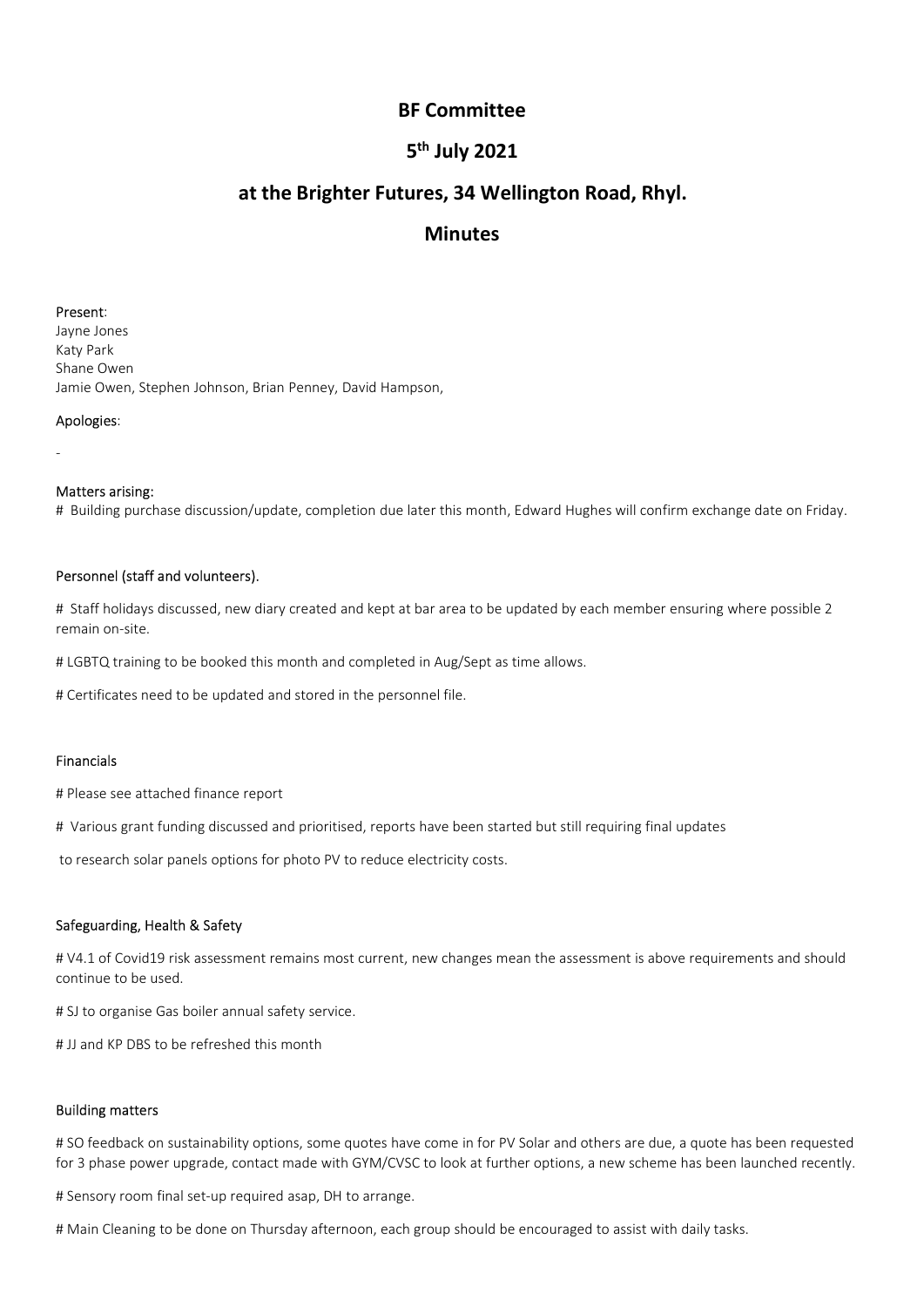# 5<sup>th</sup> July 2021

# BF Committee<br>5<sup>th</sup> July 2021<br>tures, 34 Wellington Road, Rhyl. <sup>th</sup> July 2021<br><sup>th</sup> July 2021<br>res, 34 Wellington Road, Rhyl.<br>Minutes BF Committee<br>5<sup>th</sup> July 2021<br>at the Brighter Futures, 34 Wellington Road, Rhyl.<br>Minutes

# Minutes

**BF Committee**<br> **BF Committee**<br> **S<sup>th</sup> July 2021**<br> **at the Brighter Futures, 34 Wellington Represent:**<br>
Present:<br>
Present:<br>
Applogies:<br>
Shane Owen, Stephen Johnson, Brian Penney, David Hampson,<br>
Applogies: **BF Committee**<br> **S<sup>th</sup> July 2021**<br> **at the Brighter Futures, 34 Wellington R**<br> **Minutes**<br> **Present:**<br>
Ark Park<br>
Katy Park<br>
Shane Owen, Stephen Johnson, Brian Penney, David Hampson,<br>
Apologies:<br>
Apologies: **BF Committee<br>5<sup>th</sup> July 2021<br>at the Brighter Futures, 34 Wellington Rc<br>Minutes<br>Present:<br>Arachy Park<br>Shane Owen, Stephen Johnson, Brian Penney, David Hampson,<br>Apologies:<br>Apologies: BF Committee<br>5<sup>th</sup> July 2021**<br>at the Brighter Futures, 34 Wellington Road, Rhyl.<br>Minutes<br>Present:<br>Present:<br>Shane Owen, Stephen Johnson, Brian Penney, David Hampson,<br>Apologies:<br>-<br>Matters arising: **BF Committee<br>
S<sup>th</sup> July 2021<br>
at the Brighter Futures, 34 Wellington Road<br>
Invites<br>
Present:<br>
Katy Park<br>
Katy Park<br>
Shane Owen, Stephen Johnson, Brian Penney, David Hampson,<br>
Apologies:<br>
-<br>
Matters arising:<br>
-<br>
Matters a** 5<sup>th</sup> July 2021<br>**All ington Road, Rhyl.**<br>**Minutes**<br>Present:<br>Happer Jones<br>Jayne Jones<br>Shane Owen, Stephen Johnson, Brian Penney, David Hampson,<br>Apologies:<br>**Analters arising:**<br>Personnel (staff and volunteers).<br>Happer states **at the Brighter Futures, 34 Wellington Road, Rhyl.**<br> **Minutes**<br> **Present:**<br>
Blayne Jones<br>
Share Owen, Stephen Johnson, Brian Penney, David Hampson,<br>
Jame Owen, Stephen Johnson, Brian Penney, David Hampson,<br> **Apologies:**<br> **Minutes**<br>Howe Jones<br>Katy Park<br>Katy Park<br>Jamie Owen, Stephen Johnson, Brian Penney, David Hampson,<br>Apologies:<br>"Hallding purchase discussion/update, completion due later this month, Edward Hughes will confirm exchange date Present:<br>
Interactions<br>
Kary Park<br>
Kary Park<br>
Shane Owen<br>
Jamie Owen, Stephen Johnson, Brian Penney, David Hampson,<br> **Apologies:**<br>
-<br> **Matters arising:**<br>
# Building purchase discussion/update, completion due later this mon **Present:**<br>Katy Park<br>Shane Owen,<br>Shane Owen, Stephen Johnson, Brian Penney, David Hampson,<br>**Apologies:**<br>Matters arising:<br># staiff policity of stousaged, new dary created and kept at bar area to be updated by each member en Present:<br>Expressions<br>Share Joven<br>Share Owen, Stephen Johnson, Brian Penney, David Hampson,<br>Apologies:<br>Matters arising:<br># Building purchase discussion/update, completion due later this month, Fdward Hughes will confirm exch

Apologies:<br>
-<br>
Matters arising:<br>
# Building purchase discussion/update, completion due later this month, Edward Hughes will confirm exchange<br>
# Building purchase discussed, new diary created and kept at bar area to be upda **Matters arising:**<br>
# Haulding purchase discussion/update, completion due later this month, Edward Hughes will confirm exchange date on Friday.<br> **Personnel (staff and volunteers).**<br>
# Staff holidays discussed, new diary cr **Matters arising:**<br>**Charge School School School Audio**<br>**Personnel (staff and volunteers).**<br>Personnel (staff and volunteers).<br>First findings discussed, new diary created and kept at bar area to be updated by each member ens **Personnel (staff and volunteers).**<br>
# Staff holidays discussed, new diary created and kept at bar area to be updated by each member ensuri<br>
# LGBTQ training to be booked this month and completed in Aug/Sept as time allows # Staff holidays discussed, new diary created and kept at bar area to be updated by each membere<br>nain on-site.<br>#LGBTQ training to be booked this month and completed in Aug/Sept as time allows.<br>#Certificates need to be upda

## Financials

**Personnel (staff and volunteers).**<br># Staff holidays discussed, new diary created and kept at bar area to be updated by each member ensuring where possible 2<br># LGBTQ training to be booked this month and completed in Aug/Se remain on-site.<br># LGBTQ training to be booked this month and completed in Aug/Sept as time allows.<br># Certificates need to be updated and stored in the personnel file.<br># Please see attached finance report<br># Yerious grant fu *W* LGBTQ training to be booked this month and completed in Aug/Sept as time allows.<br> *W* Certificates need to be updated and stored in the personnel file.<br> **Financials**<br> *W* Please see attached finance report<br> *W* Widriou Financials<br>
If Please see attached finance report<br>
If Various grant funding discussed and prioritised, reports have been started but still require<br>
to research solar panels options for photo PV to reduce electricity costs.

**Financials**<br># Various grant funding discussed and prioritised, reports have been started but still requiring final updates<br>to research solar panels options for photo PV to reduce electricity costs.<br>**Safeguarding, Health &** # Please see attached finance report<br>The Various grant funding discussed and prioritised, reports have been started but still requiring final updates<br>to research solar panels options for photo PV to reduce electricity cost # Various grant funding discussed and prioritised, reports have been started but still requiring final updates<br>to research solar panels options for photo PV to reduce electricity costs.<br>**Safeguarding, Health & Safety**<br>WA1. to research solar panels options for photo PV to reduce electricity costs.<br>Safeguarding, Health & Safety<br>#V4.1 of Covid19 risk assessment remains most current, new changes mean the assessment is above requirements and shou